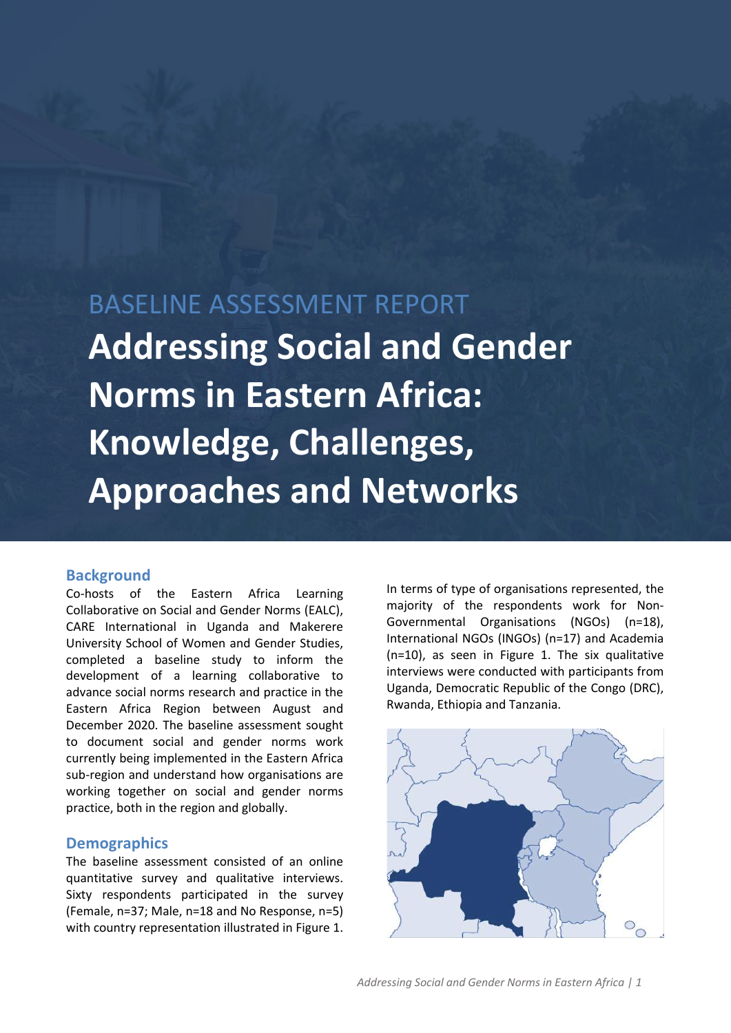# BASELINE ASSESSMENT REPORT **Addressing Social and Gender Norms in Eastern Africa: Knowledge, Challenges, Approaches and Networks**

#### **Background**

Co-hosts of the Eastern Africa Learning Collaborative on Social and Gender Norms (EALC), CARE International in Uganda and Makerere University School of Women and Gender Studies, completed a baseline study to inform the development of a learning collaborative to advance social norms research and practice in the Eastern Africa Region between August and December 2020. The baseline assessment sought to document social and gender norms work currently being implemented in the Eastern Africa sub-region and understand how organisations are working together on social and gender norms practice, both in the region and globally.

#### **Demographics**

The baseline assessment consisted of an online quantitative survey and qualitative interviews. Sixty respondents participated in the survey (Female, n=37; Male, n=18 and No Response, n=5) with country representation illustrated in Figure 1.

In terms of type of organisations represented, the majority of the respondents work for Non-Governmental Organisations (NGOs) (n=18), International NGOs (INGOs) (n=17) and Academia (n=10), as seen in Figure 1. The six qualitative interviews were conducted with participants from Uganda, Democratic Republic of the Congo (DRC), Rwanda, Ethiopia and Tanzania.

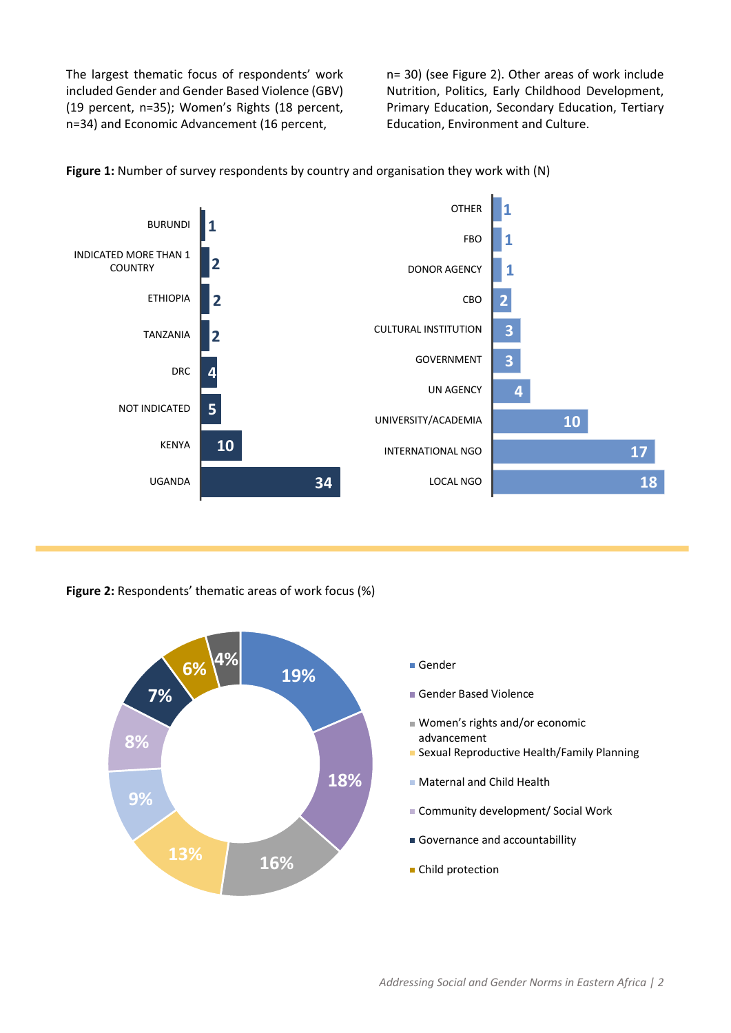The largest thematic focus of respondents' work included Gender and Gender Based Violence (GBV) (19 percent, n=35); Women's Rights (18 percent, n=34) and Economic Advancement (16 percent,

n= 30) (see Figure 2). Other areas of work include Nutrition, Politics, Early Childhood Development, Primary Education, Secondary Education, Tertiary Education, Environment and Culture.



**Figure 1:** Number of survey respondents by country and organisation they work with (N)

**Figure 2:** Respondents' thematic areas of work focus (%)

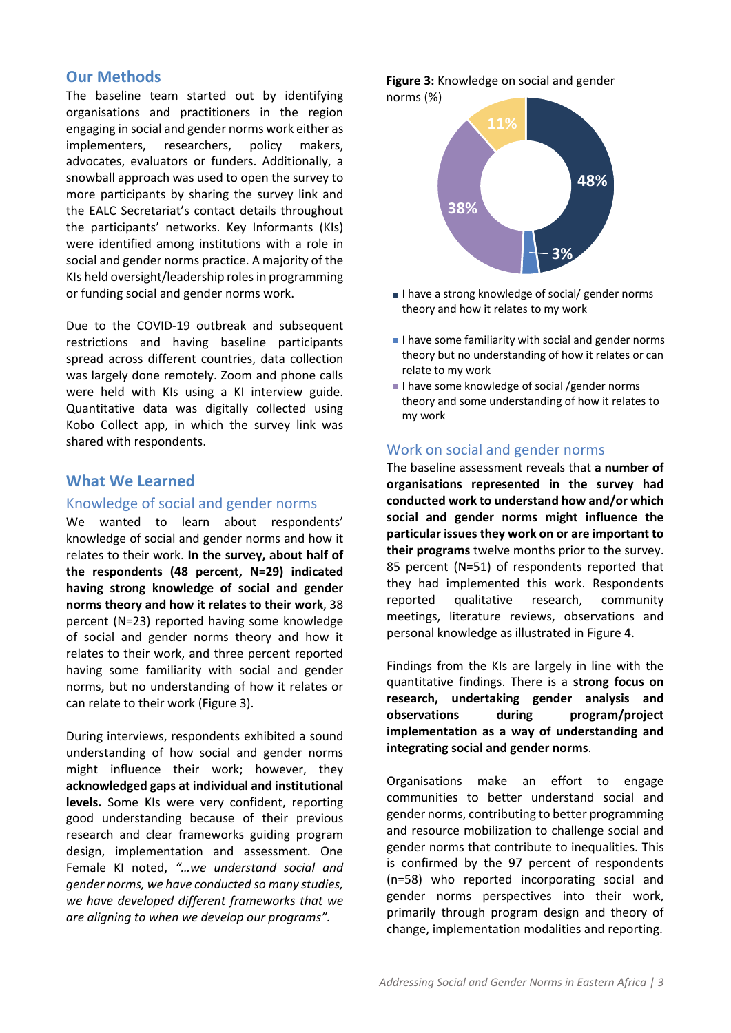# **Our Methods**

The baseline team started out by identifying organisations and practitioners in the region engaging in social and gender norms work either as implementers, researchers, policy makers, advocates, evaluators or funders. Additionally, a snowball approach was used to open the survey to more participants by sharing the survey link and the EALC Secretariat's contact details throughout the participants' networks. Key Informants (KIs) were identified among institutions with a role in social and gender norms practice. A majority of the KIs held oversight/leadership roles in programming or funding social and gender norms work.

Due to the COVID-19 outbreak and subsequent restrictions and having baseline participants spread across different countries, data collection was largely done remotely. Zoom and phone calls were held with KIs using a KI interview guide. Quantitative data was digitally collected using Kobo Collect app, in which the survey link was shared with respondents.

## **What We Learned**

#### Knowledge of social and gender norms

We wanted to learn about respondents' knowledge of social and gender norms and how it relates to their work. **In the survey, about half of the respondents (48 percent, N=29) indicated having strong knowledge of social and gender norms theory and how it relates to their work**, 38 percent (N=23) reported having some knowledge of social and gender norms theory and how it relates to their work, and three percent reported having some familiarity with social and gender norms, but no understanding of how it relates or can relate to their work (Figure 3).

During interviews, respondents exhibited a sound understanding of how social and gender norms might influence their work; however, they **acknowledged gaps at individual and institutional levels.** Some KIs were very confident, reporting good understanding because of their previous research and clear frameworks guiding program design, implementation and assessment. One Female KI noted, *"…we understand social and gender norms, we have conducted so many studies, we have developed different frameworks that we are aligning to when we develop our programs".* 

**Figure 3:** Knowledge on social and gender norms (%)



- I have a strong knowledge of social/ gender norms theory and how it relates to my work
- I have some familiarity with social and gender norms theory but no understanding of how it relates or can relate to my work
- I have some knowledge of social /gender norms theory and some understanding of how it relates to my work

#### Work on social and gender norms

The baseline assessment reveals that **a number of organisations represented in the survey had conducted work to understand how and/or which social and gender norms might influence the particular issues they work on or are important to their programs** twelve months prior to the survey. 85 percent (N=51) of respondents reported that they had implemented this work. Respondents reported qualitative research, community meetings, literature reviews, observations and personal knowledge as illustrated in Figure 4.

Findings from the KIs are largely in line with the quantitative findings. There is a **strong focus on research, undertaking gender analysis and observations during program/project implementation as a way of understanding and integrating social and gender norms**.

Organisations make an effort to engage communities to better understand social and gender norms, contributing to better programming and resource mobilization to challenge social and gender norms that contribute to inequalities. This is confirmed by the 97 percent of respondents (n=58) who reported incorporating social and gender norms perspectives into their work, primarily through program design and theory of change, implementation modalities and reporting.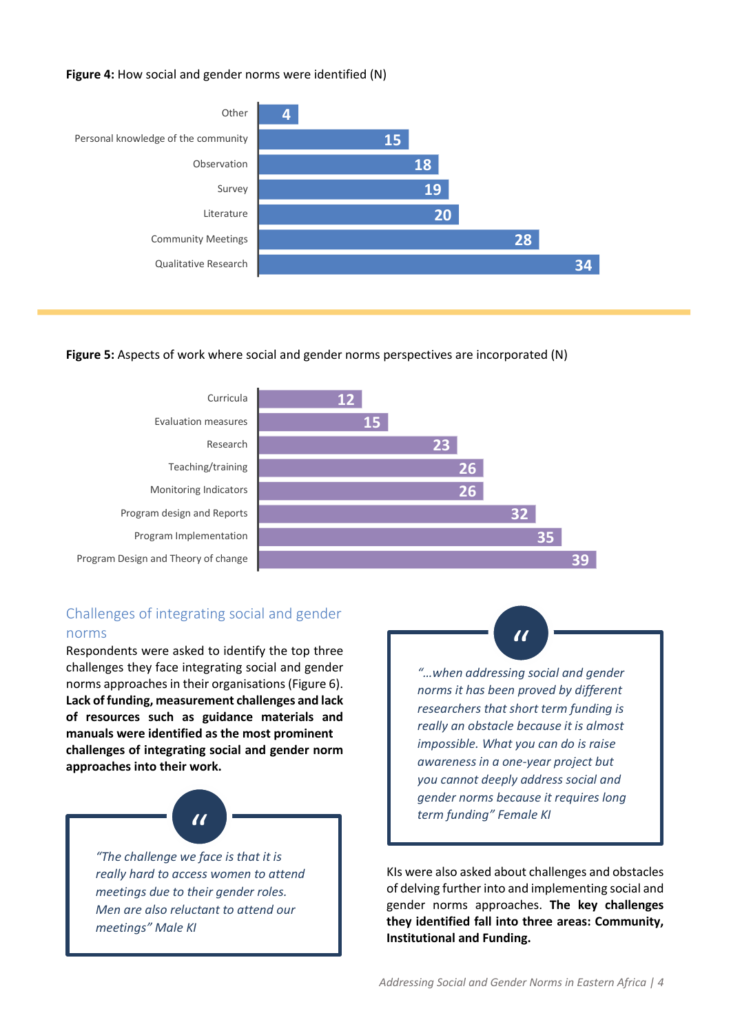#### **Figure 4:** How social and gender norms were identified (N)



#### **Figure 5:** Aspects of work where social and gender norms perspectives are incorporated (N)



# Challenges of integrating social and gender norms

Respondents were asked to identify the top three challenges they face integrating social and gender norms approaches in their organisations (Figure 6). **Lack of funding, measurement challenges and lack of resources such as guidance materials and manuals were identified as the most prominent challenges of integrating social and gender norm approaches into their work.**



*meetings" Male KI*

*"…when addressing social and gender norms it has been proved by different researchers that short term funding is really an obstacle because it is almost impossible. What you can do is raise awareness in a one-year project but you cannot deeply address social and gender norms because it requires long term funding" Female KI*

 $\overline{U}$ 

KIs were also asked about challenges and obstacles of delving further into and implementing social and gender norms approaches. **The key challenges they identified fall into three areas: Community, Institutional and Funding.**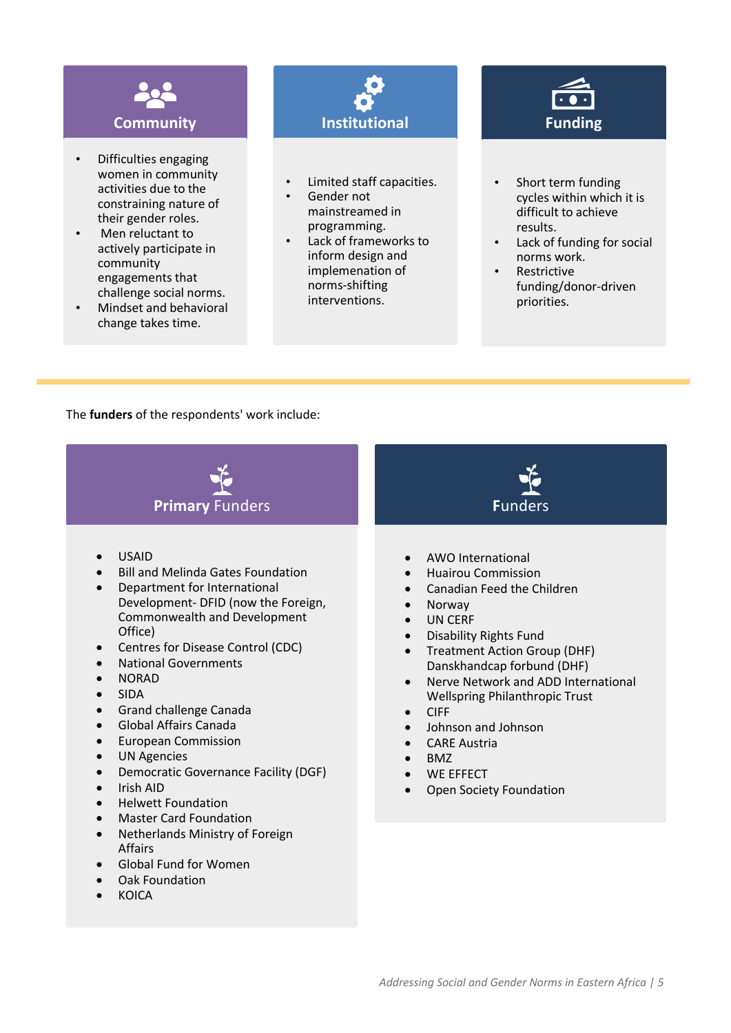

- Difficulties engaging women in community activities due to the constraining nature of their gender roles.
- Men reluctant to actively participate in community engagements that challenge social norms.
- Mindset and behavioral change takes time.



- Limited staff capacities.
- Gender not mainstreamed in programming.
- Lack of frameworks to inform design and implemenation of norms-shifting interventions.



- Short term funding cycles within which it is difficult to achieve results.
- Lack of funding for social norms work.
- Restrictive funding/donor-driven priorities.

The **funders** of the respondents' work include:

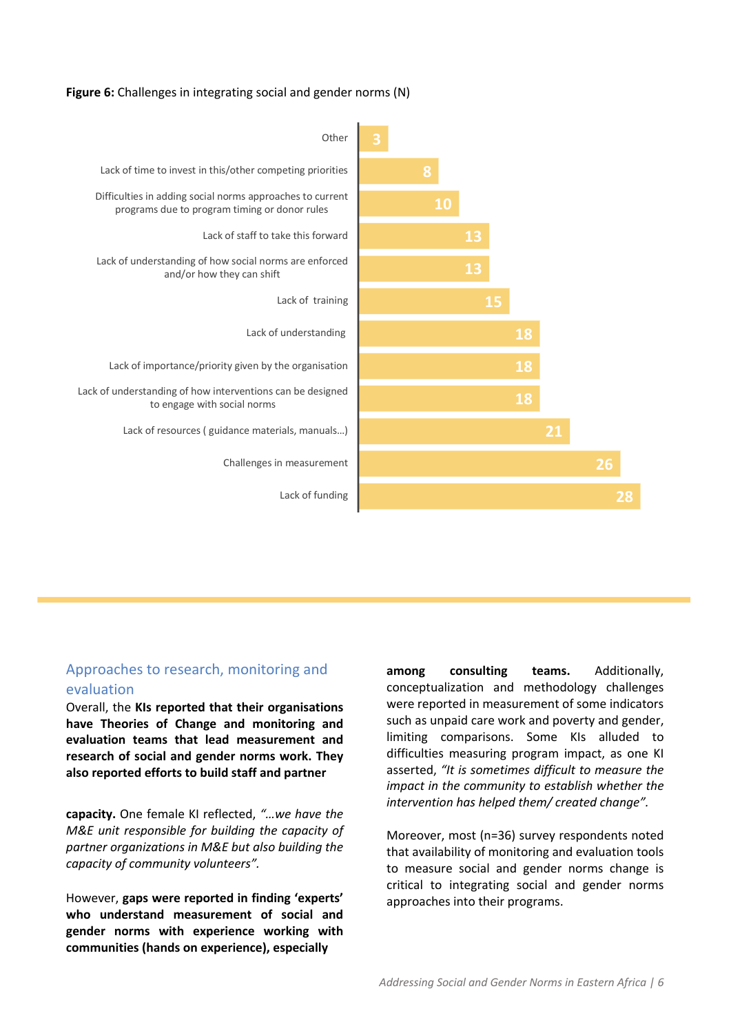#### **Figure 6:** Challenges in integrating social and gender norms (N)



# Approaches to research, monitoring and evaluation

Overall, the **KIs reported that their organisations have Theories of Change and monitoring and evaluation teams that lead measurement and research of social and gender norms work. They also reported efforts to build staff and partner** 

**capacity.** One female KI reflected, *"…we have the M&E unit responsible for building the capacity of partner organizations in M&E but also building the capacity of community volunteers".*

However, **gaps were reported in finding 'experts' who understand measurement of social and gender norms with experience working with communities (hands on experience), especially** 

**among consulting teams.** Additionally, conceptualization and methodology challenges were reported in measurement of some indicators such as unpaid care work and poverty and gender, limiting comparisons. Some KIs alluded to difficulties measuring program impact, as one KI asserted, *"It is sometimes difficult to measure the impact in the community to establish whether the intervention has helped them/ created change".*

Moreover, most (n=36) survey respondents noted that availability of monitoring and evaluation tools to measure social and gender norms change is critical to integrating social and gender norms approaches into their programs.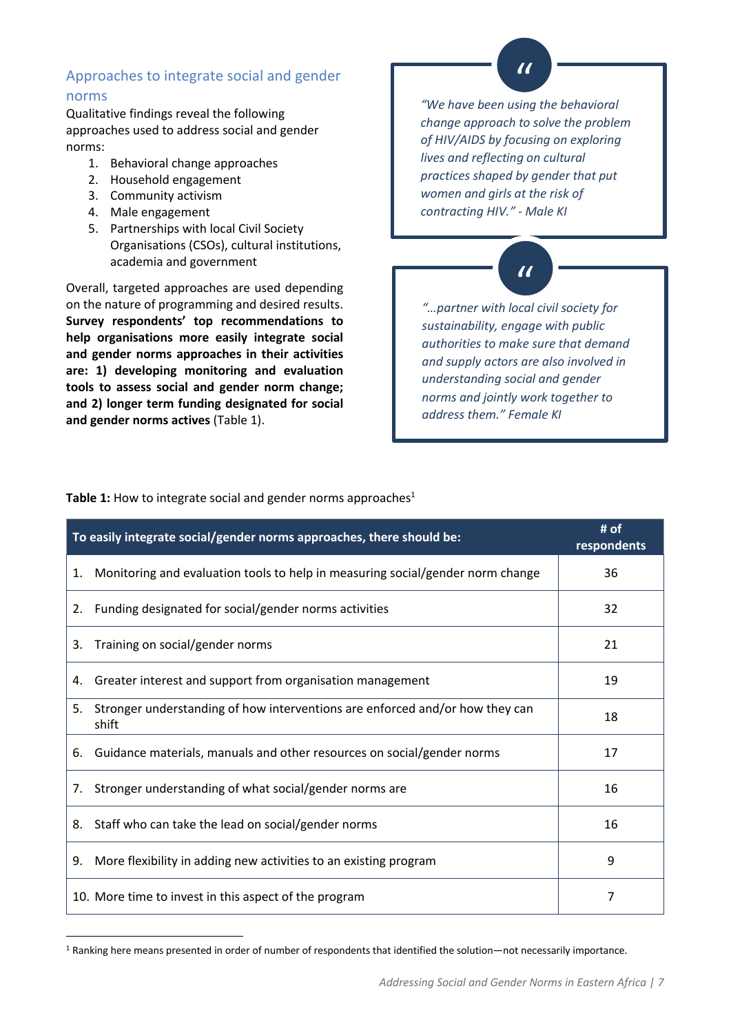# Approaches to integrate social and gender norms

Qualitative findings reveal the following approaches used to address social and gender norms:

- 1. Behavioral change approaches
- 2. Household engagement
- 3. Community activism
- 4. Male engagement
- 5. Partnerships with local Civil Society Organisations (CSOs), cultural institutions, academia and government

Overall, targeted approaches are used depending on the nature of programming and desired results. **Survey respondents' top recommendations to help organisations more easily integrate social and gender norms approaches in their activities are: 1) developing monitoring and evaluation tools to assess social and gender norm change; and 2) longer term funding designated for social and gender norms actives** (Table 1).

*"We have been using the behavioral* " *change approach to solve the problem of HIV/AIDS by focusing on exploring lives and reflecting on cultural practices shaped by gender that put women and girls at the risk of contracting HIV." - Male KI*



*"…partner with local civil society for sustainability, engage with public authorities to make sure that demand and supply actors are also involved in understanding social and gender norms and jointly work together to address them." Female KI*

**Table 1:** How to integrate social and gender norms approaches<sup>1</sup>

| To easily integrate social/gender norms approaches, there should be: | # of<br>respondents                                                                   |    |
|----------------------------------------------------------------------|---------------------------------------------------------------------------------------|----|
| 1.                                                                   | Monitoring and evaluation tools to help in measuring social/gender norm change        | 36 |
| 2.                                                                   | Funding designated for social/gender norms activities                                 | 32 |
| 3.                                                                   | Training on social/gender norms                                                       | 21 |
| 4.                                                                   | Greater interest and support from organisation management                             | 19 |
| 5.                                                                   | Stronger understanding of how interventions are enforced and/or how they can<br>shift | 18 |
| 6.                                                                   | Guidance materials, manuals and other resources on social/gender norms                | 17 |
| 7.                                                                   | Stronger understanding of what social/gender norms are                                | 16 |
| 8.                                                                   | Staff who can take the lead on social/gender norms                                    | 16 |
| 9.                                                                   | More flexibility in adding new activities to an existing program                      | 9  |
|                                                                      | 10. More time to invest in this aspect of the program                                 | 7  |

<sup>1</sup> Ranking here means presented in order of number of respondents that identified the solution—not necessarily importance.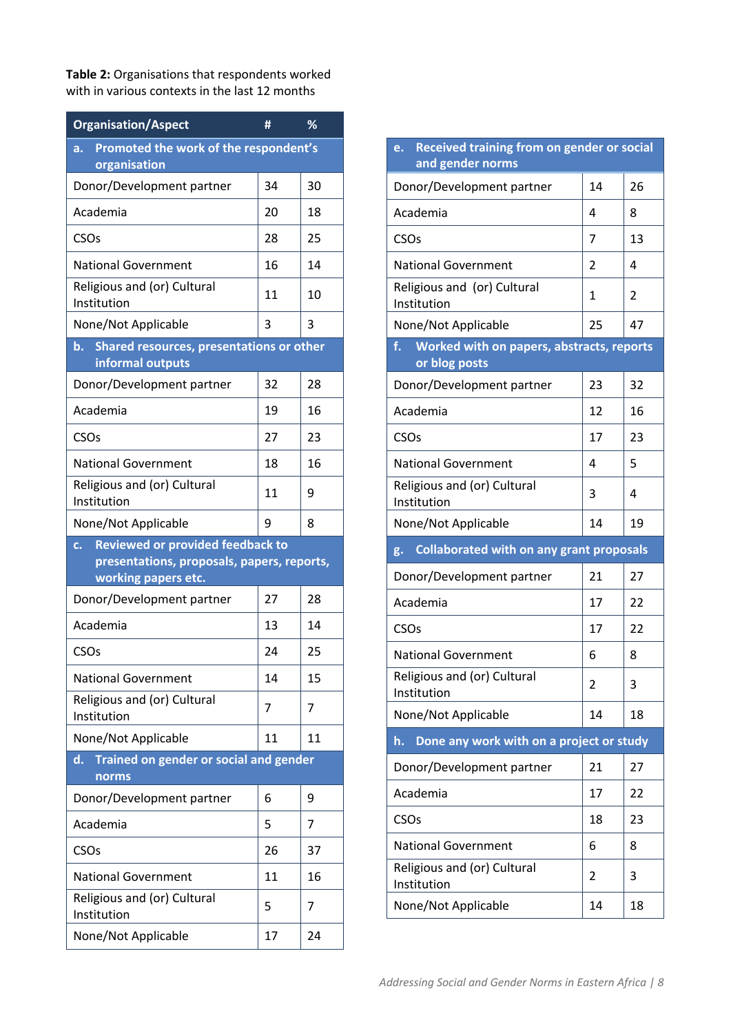**Table 2:** Organisations that respondents worked with in various contexts in the last 12 months

| <b>Organisation/Aspect</b>                                                                  | #  | %  |  |  |
|---------------------------------------------------------------------------------------------|----|----|--|--|
| Promoted the work of the respondent's<br>a.<br>organisation                                 |    |    |  |  |
| Donor/Development partner                                                                   | 34 | 30 |  |  |
| Academia                                                                                    | 20 | 18 |  |  |
| <b>CSO<sub>s</sub></b>                                                                      | 28 | 25 |  |  |
| <b>National Government</b>                                                                  | 16 | 14 |  |  |
| Religious and (or) Cultural<br>Institution                                                  | 11 | 10 |  |  |
| None/Not Applicable                                                                         | 3  | 3  |  |  |
| Shared resources, presentations or other<br>b. I<br>informal outputs                        |    |    |  |  |
| Donor/Development partner                                                                   | 32 | 28 |  |  |
| Academia                                                                                    | 19 | 16 |  |  |
| CSO <sub>s</sub>                                                                            | 27 | 23 |  |  |
| <b>National Government</b>                                                                  | 18 | 16 |  |  |
| Religious and (or) Cultural<br>Institution                                                  | 11 | 9  |  |  |
| None/Not Applicable                                                                         | 9  | 8  |  |  |
| <b>Reviewed or provided feedback to</b><br>c.<br>presentations, proposals, papers, reports, |    |    |  |  |
|                                                                                             |    |    |  |  |
| working papers etc.<br>Donor/Development partner                                            | 27 | 28 |  |  |
| Academia                                                                                    | 13 | 14 |  |  |
| CSO <sub>s</sub>                                                                            | 24 | 25 |  |  |
| <b>National Government</b>                                                                  | 14 | 15 |  |  |
| Religious and (or) Cultural<br>Institution                                                  | 7  | 7  |  |  |
| None/Not Applicable                                                                         | 11 | 11 |  |  |
| Trained on gender or social and gender<br>d.<br>norms                                       |    |    |  |  |
| Donor/Development partner                                                                   | 6  | 9  |  |  |
| Academia                                                                                    | 5  | 7  |  |  |
| CSO <sub>s</sub>                                                                            | 26 | 37 |  |  |
| <b>National Government</b>                                                                  | 11 | 16 |  |  |
| Religious and (or) Cultural<br>Institution                                                  | 5  | 7  |  |  |

| <b>Received training from on gender or social</b><br>e.<br>and gender norms |                                                 |    |  |  |  |
|-----------------------------------------------------------------------------|-------------------------------------------------|----|--|--|--|
| Donor/Development partner                                                   | 14                                              | 26 |  |  |  |
| Academia                                                                    | 4                                               | 8  |  |  |  |
| CSO <sub>s</sub>                                                            | 7                                               | 13 |  |  |  |
| <b>National Government</b>                                                  | 2                                               | 4  |  |  |  |
| Religious and (or) Cultural<br>Institution                                  | 1                                               | 2  |  |  |  |
| None/Not Applicable                                                         | 25                                              | 47 |  |  |  |
| f.<br>Worked with on papers, abstracts, reports<br>or blog posts            |                                                 |    |  |  |  |
| Donor/Development partner                                                   | 23                                              | 32 |  |  |  |
| Academia                                                                    | 12                                              | 16 |  |  |  |
| CSO <sub>S</sub>                                                            | 17                                              | 23 |  |  |  |
| <b>National Government</b>                                                  | 4                                               | 5  |  |  |  |
| Religious and (or) Cultural<br>Institution                                  | 3                                               | 4  |  |  |  |
| None/Not Applicable                                                         | 14                                              | 19 |  |  |  |
| g.                                                                          | <b>Collaborated with on any grant proposals</b> |    |  |  |  |
| Donor/Development partner                                                   | 21                                              | 27 |  |  |  |
| Academia                                                                    | 17                                              | 22 |  |  |  |
| CSO <sub>S</sub>                                                            | 17                                              | 22 |  |  |  |
| <b>National Government</b>                                                  |                                                 |    |  |  |  |
|                                                                             | 6                                               | 8  |  |  |  |
| Religious and (or) Cultural<br>Institution                                  | $\overline{\mathcal{L}}$                        | 3  |  |  |  |
| None/Not Applicable                                                         | 14                                              | 18 |  |  |  |
| Done any work with on a project or study<br>h.                              |                                                 |    |  |  |  |
| Donor/Development partner                                                   | 21                                              | 27 |  |  |  |
| Academia                                                                    | 17                                              | 22 |  |  |  |
| CSO <sub>s</sub>                                                            | 18                                              | 23 |  |  |  |
| <b>National Government</b>                                                  | 6                                               | 8  |  |  |  |
| Religious and (or) Cultural<br>Institution                                  | 2                                               | 3  |  |  |  |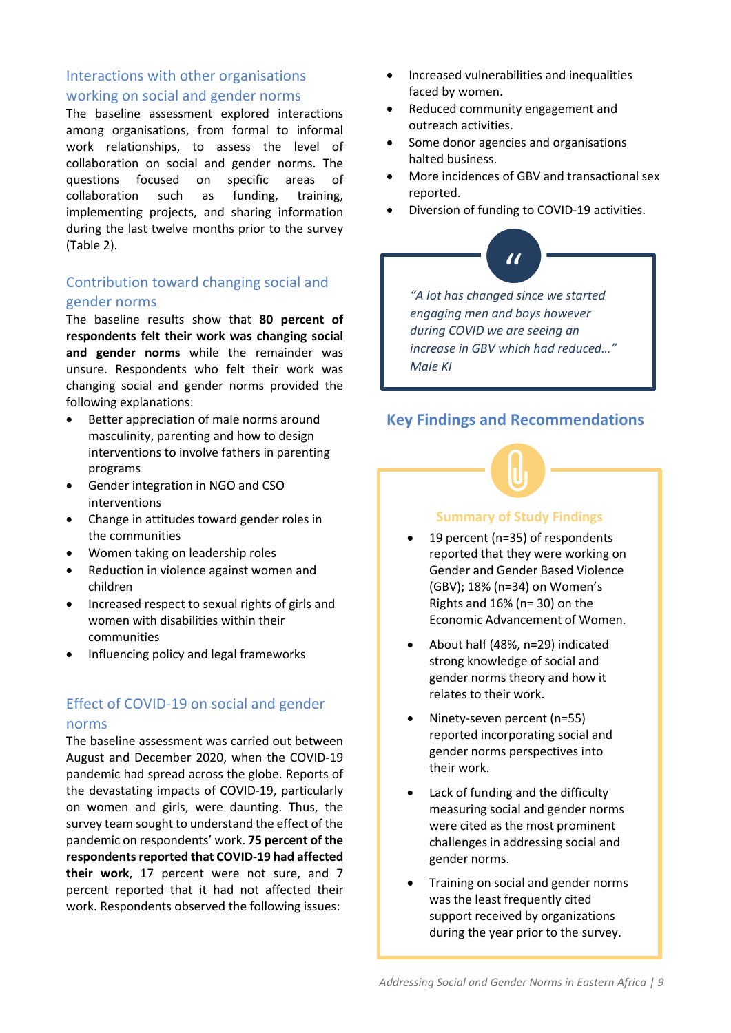# Interactions with other organisations working on social and gender norms

The baseline assessment explored interactions among organisations, from formal to informal work relationships, to assess the level of collaboration on social and gender norms. The questions focused on specific areas of collaboration such as funding, training, implementing projects, and sharing information during the last twelve months prior to the survey (Table 2).

# Contribution toward changing social and gender norms

The baseline results show that **80 percent of respondents felt their work was changing social and gender norms** while the remainder was unsure. Respondents who felt their work was changing social and gender norms provided the following explanations:

- Better appreciation of male norms around masculinity, parenting and how to design interventions to involve fathers in parenting programs
- Gender integration in NGO and CSO interventions
- Change in attitudes toward gender roles in the communities
- Women taking on leadership roles
- Reduction in violence against women and children
- Increased respect to sexual rights of girls and women with disabilities within their communities
- Influencing policy and legal frameworks

# Effect of COVID-19 on social and gender norms

The baseline assessment was carried out between August and December 2020, when the COVID-19 pandemic had spread across the globe. Reports of the devastating impacts of COVID-19, particularly on women and girls, were daunting. Thus, the survey team sought to understand the effect of the pandemic on respondents' work. **75 percent of the respondents reported that COVID-19 had affected their work**, 17 percent were not sure, and 7 percent reported that it had not affected their work. Respondents observed the following issues:

- Increased vulnerabilities and inequalities faced by women.
- Reduced community engagement and outreach activities.
- Some donor agencies and organisations halted business.
- More incidences of GBV and transactional sex reported.
- Diversion of funding to COVID-19 activities.

# "

*"A lot has changed since we started engaging men and boys however during COVID we are seeing an increase in GBV which had reduced…" Male KI*

# **Key Findings and Recommendations**



# **Summary of Study Findings**

- 19 percent (n=35) of respondents reported that they were working on Gender and Gender Based Violence (GBV); 18% (n=34) on Women's Rights and 16% (n= 30) on the Economic Advancement of Women.
- About half (48%, n=29) indicated strong knowledge of social and gender norms theory and how it relates to their work.
- Ninety-seven percent (n=55) reported incorporating social and gender norms perspectives into their work.
- Lack of funding and the difficulty measuring social and gender norms were cited as the most prominent challenges in addressing social and gender norms.
- Training on social and gender norms was the least frequently cited support received by organizations during the year prior to the survey.